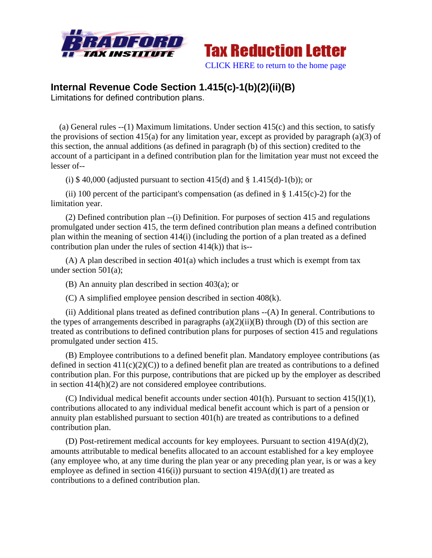



## **Internal Revenue Code Section 1.415(c)-1(b)(2)(ii)(B)**

Limitations for defined contribution plans.

 (a) General rules --(1) Maximum limitations. Under section 415(c) and this section, to satisfy the provisions of section 415(a) for any limitation year, except as provided by paragraph (a)(3) of this section, the annual additions (as defined in paragraph (b) of this section) credited to the account of a participant in a defined contribution plan for the limitation year must not exceed the lesser of--

(i) \$40,000 (adjusted pursuant to section 415(d) and  $\S$  1.415(d)-1(b)); or

(ii) 100 percent of the participant's compensation (as defined in  $\S$  1.415(c)-2) for the limitation year.

 (2) Defined contribution plan --(i) Definition. For purposes of section 415 and regulations promulgated under section 415, the term defined contribution plan means a defined contribution plan within the meaning of section 414(i) (including the portion of a plan treated as a defined contribution plan under the rules of section  $414(k)$  that is--

 (A) A plan described in section 401(a) which includes a trust which is exempt from tax under section 501(a);

(B) An annuity plan described in section 403(a); or

(C) A simplified employee pension described in section 408(k).

 (ii) Additional plans treated as defined contribution plans --(A) In general. Contributions to the types of arrangements described in paragraphs  $(a)(2)(ii)(B)$  through  $(D)$  of this section are treated as contributions to defined contribution plans for purposes of section 415 and regulations promulgated under section 415.

 (B) Employee contributions to a defined benefit plan. Mandatory employee contributions (as defined in section  $411(c)(2)(C)$  to a defined benefit plan are treated as contributions to a defined contribution plan. For this purpose, contributions that are picked up by the employer as described in section 414(h)(2) are not considered employee contributions.

(C) Individual medical benefit accounts under section  $401(h)$ . Pursuant to section  $415(l)(1)$ , contributions allocated to any individual medical benefit account which is part of a pension or annuity plan established pursuant to section 401(h) are treated as contributions to a defined contribution plan.

 (D) Post-retirement medical accounts for key employees. Pursuant to section 419A(d)(2), amounts attributable to medical benefits allocated to an account established for a key employee (any employee who, at any time during the plan year or any preceding plan year, is or was a key employee as defined in section  $416(i)$ ) pursuant to section  $419A(d)(1)$  are treated as contributions to a defined contribution plan.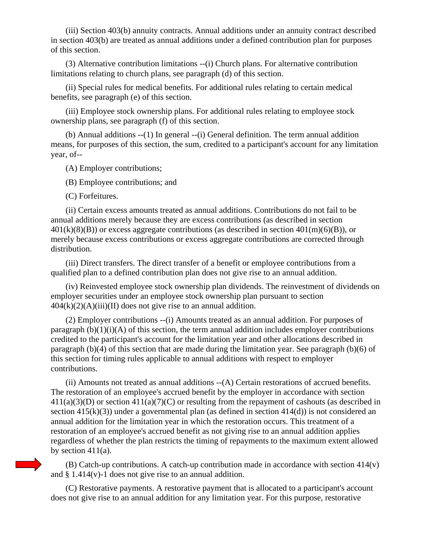(iii) Section 403(b) annuity contracts. Annual additions under an annuity contract described in section 403(b) are treated as annual additions under a defined contribution plan for purposes of this section.

 (3) Alternative contribution limitations --(i) Church plans. For alternative contribution limitations relating to church plans, see paragraph (d) of this section.

 (ii) Special rules for medical benefits. For additional rules relating to certain medical benefits, see paragraph (e) of this section.

 (iii) Employee stock ownership plans. For additional rules relating to employee stock ownership plans, see paragraph (f) of this section.

 (b) Annual additions --(1) In general --(i) General definition. The term annual addition means, for purposes of this section, the sum, credited to a participant's account for any limitation year, of--

(A) Employer contributions;

(B) Employee contributions; and

(C) Forfeitures.

 (ii) Certain excess amounts treated as annual additions. Contributions do not fail to be annual additions merely because they are excess contributions (as described in section  $401(k)(8)(B)$  or excess aggregate contributions (as described in section  $401(m)(6)(B)$ ), or merely because excess contributions or excess aggregate contributions are corrected through distribution.

 (iii) Direct transfers. The direct transfer of a benefit or employee contributions from a qualified plan to a defined contribution plan does not give rise to an annual addition.

 (iv) Reinvested employee stock ownership plan dividends. The reinvestment of dividends on employer securities under an employee stock ownership plan pursuant to section  $404(k)(2)(A)(iii)(II)$  does not give rise to an annual addition.

 (2) Employer contributions --(i) Amounts treated as an annual addition. For purposes of paragraph  $(b)(1)(i)(A)$  of this section, the term annual addition includes employer contributions credited to the participant's account for the limitation year and other allocations described in paragraph (b)(4) of this section that are made during the limitation year. See paragraph (b)(6) of this section for timing rules applicable to annual additions with respect to employer contributions.

 (ii) Amounts not treated as annual additions --(A) Certain restorations of accrued benefits. The restoration of an employee's accrued benefit by the employer in accordance with section  $411(a)(3)(D)$  or section  $411(a)(7)(C)$  or resulting from the repayment of cashouts (as described in section  $415(k)(3)$ ) under a governmental plan (as defined in section  $414(d)$ ) is not considered an annual addition for the limitation year in which the restoration occurs. This treatment of a restoration of an employee's accrued benefit as not giving rise to an annual addition applies regardless of whether the plan restricts the timing of repayments to the maximum extent allowed by section 411(a).

 (B) Catch-up contributions. A catch-up contribution made in accordance with section 414(v) and § 1.414(v)-1 does not give rise to an annual addition.

 (C) Restorative payments. A restorative payment that is allocated to a participant's account does not give rise to an annual addition for any limitation year. For this purpose, restorative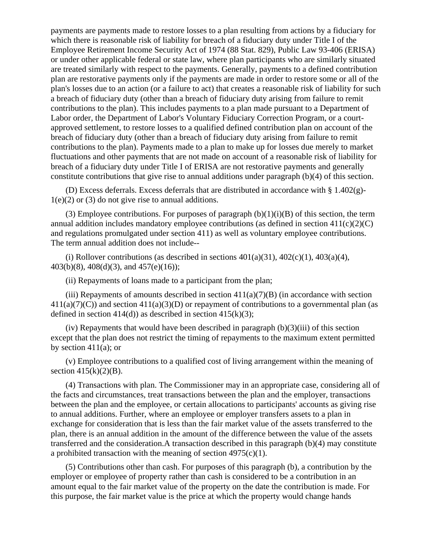payments are payments made to restore losses to a plan resulting from actions by a fiduciary for which there is reasonable risk of liability for breach of a fiduciary duty under Title I of the Employee Retirement Income Security Act of 1974 (88 Stat. 829), Public Law 93-406 (ERISA) or under other applicable federal or state law, where plan participants who are similarly situated are treated similarly with respect to the payments. Generally, payments to a defined contribution plan are restorative payments only if the payments are made in order to restore some or all of the plan's losses due to an action (or a failure to act) that creates a reasonable risk of liability for such a breach of fiduciary duty (other than a breach of fiduciary duty arising from failure to remit contributions to the plan). This includes payments to a plan made pursuant to a Department of Labor order, the Department of Labor's Voluntary Fiduciary Correction Program, or a courtapproved settlement, to restore losses to a qualified defined contribution plan on account of the breach of fiduciary duty (other than a breach of fiduciary duty arising from failure to remit contributions to the plan). Payments made to a plan to make up for losses due merely to market fluctuations and other payments that are not made on account of a reasonable risk of liability for breach of a fiduciary duty under Title I of ERISA are not restorative payments and generally constitute contributions that give rise to annual additions under paragraph (b)(4) of this section.

 (D) Excess deferrals. Excess deferrals that are distributed in accordance with § 1.402(g)-  $1(e)(2)$  or (3) do not give rise to annual additions.

(3) Employee contributions. For purposes of paragraph  $(b)(1)(i)(B)$  of this section, the term annual addition includes mandatory employee contributions (as defined in section  $411(c)(2)(C)$ ) and regulations promulgated under section 411) as well as voluntary employee contributions. The term annual addition does not include--

(i) Rollover contributions (as described in sections  $401(a)(31)$ ,  $402(c)(1)$ ,  $403(a)(4)$ , 403(b)(8), 408(d)(3), and 457(e)(16));

(ii) Repayments of loans made to a participant from the plan;

(iii) Repayments of amounts described in section  $411(a)(7)(B)$  (in accordance with section  $411(a)(7)(C)$ ) and section  $411(a)(3)(D)$  or repayment of contributions to a governmental plan (as defined in section 414(d)) as described in section 415(k)(3);

(iv) Repayments that would have been described in paragraph  $(b)(3)(iii)$  of this section except that the plan does not restrict the timing of repayments to the maximum extent permitted by section  $411(a)$ ; or

 (v) Employee contributions to a qualified cost of living arrangement within the meaning of section  $415(k)(2)(B)$ .

 (4) Transactions with plan. The Commissioner may in an appropriate case, considering all of the facts and circumstances, treat transactions between the plan and the employer, transactions between the plan and the employee, or certain allocations to participants' accounts as giving rise to annual additions. Further, where an employee or employer transfers assets to a plan in exchange for consideration that is less than the fair market value of the assets transferred to the plan, there is an annual addition in the amount of the difference between the value of the assets transferred and the consideration.A transaction described in this paragraph (b)(4) may constitute a prohibited transaction with the meaning of section  $4975(c)(1)$ .

 (5) Contributions other than cash. For purposes of this paragraph (b), a contribution by the employer or employee of property rather than cash is considered to be a contribution in an amount equal to the fair market value of the property on the date the contribution is made. For this purpose, the fair market value is the price at which the property would change hands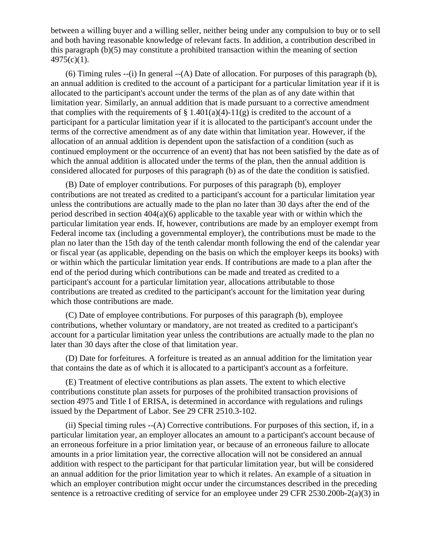between a willing buyer and a willing seller, neither being under any compulsion to buy or to sell and both having reasonable knowledge of relevant facts. In addition, a contribution described in this paragraph (b)(5) may constitute a prohibited transaction within the meaning of section  $4975(c)(1)$ .

 (6) Timing rules --(i) In general --(A) Date of allocation. For purposes of this paragraph (b), an annual addition is credited to the account of a participant for a particular limitation year if it is allocated to the participant's account under the terms of the plan as of any date within that limitation year. Similarly, an annual addition that is made pursuant to a corrective amendment that complies with the requirements of § 1.401(a)(4)-11(g) is credited to the account of a participant for a particular limitation year if it is allocated to the participant's account under the terms of the corrective amendment as of any date within that limitation year. However, if the allocation of an annual addition is dependent upon the satisfaction of a condition (such as continued employment or the occurrence of an event) that has not been satisfied by the date as of which the annual addition is allocated under the terms of the plan, then the annual addition is considered allocated for purposes of this paragraph (b) as of the date the condition is satisfied.

 (B) Date of employer contributions. For purposes of this paragraph (b), employer contributions are not treated as credited to a participant's account for a particular limitation year unless the contributions are actually made to the plan no later than 30 days after the end of the period described in section  $404(a)(6)$  applicable to the taxable year with or within which the particular limitation year ends. If, however, contributions are made by an employer exempt from Federal income tax (including a governmental employer), the contributions must be made to the plan no later than the 15th day of the tenth calendar month following the end of the calendar year or fiscal year (as applicable, depending on the basis on which the employer keeps its books) with or within which the particular limitation year ends. If contributions are made to a plan after the end of the period during which contributions can be made and treated as credited to a participant's account for a particular limitation year, allocations attributable to those contributions are treated as credited to the participant's account for the limitation year during which those contributions are made.

 (C) Date of employee contributions. For purposes of this paragraph (b), employee contributions, whether voluntary or mandatory, are not treated as credited to a participant's account for a particular limitation year unless the contributions are actually made to the plan no later than 30 days after the close of that limitation year.

 (D) Date for forfeitures. A forfeiture is treated as an annual addition for the limitation year that contains the date as of which it is allocated to a participant's account as a forfeiture.

 (E) Treatment of elective contributions as plan assets. The extent to which elective contributions constitute plan assets for purposes of the prohibited transaction provisions of section 4975 and Title I of ERISA, is determined in accordance with regulations and rulings issued by the Department of Labor. See 29 CFR 2510.3-102.

 (ii) Special timing rules --(A) Corrective contributions. For purposes of this section, if, in a particular limitation year, an employer allocates an amount to a participant's account because of an erroneous forfeiture in a prior limitation year, or because of an erroneous failure to allocate amounts in a prior limitation year, the corrective allocation will not be considered an annual addition with respect to the participant for that particular limitation year, but will be considered an annual addition for the prior limitation year to which it relates. An example of a situation in which an employer contribution might occur under the circumstances described in the preceding sentence is a retroactive crediting of service for an employee under 29 CFR 2530.200b-2(a)(3) in